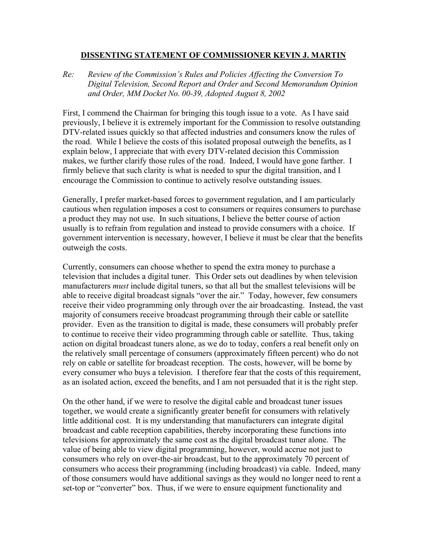## **DISSENTING STATEMENT OF COMMISSIONER KEVIN J. MARTIN**

*Re: Review of the Commission's Rules and Policies Affecting the Conversion To Digital Television, Second Report and Order and Second Memorandum Opinion and Order, MM Docket No. 00-39, Adopted August 8, 2002* 

First, I commend the Chairman for bringing this tough issue to a vote. As I have said previously, I believe it is extremely important for the Commission to resolve outstanding DTV-related issues quickly so that affected industries and consumers know the rules of the road. While I believe the costs of this isolated proposal outweigh the benefits, as I explain below, I appreciate that with every DTV-related decision this Commission makes, we further clarify those rules of the road. Indeed, I would have gone farther. I firmly believe that such clarity is what is needed to spur the digital transition, and I encourage the Commission to continue to actively resolve outstanding issues.

Generally, I prefer market-based forces to government regulation, and I am particularly cautious when regulation imposes a cost to consumers or requires consumers to purchase a product they may not use. In such situations, I believe the better course of action usually is to refrain from regulation and instead to provide consumers with a choice. If government intervention is necessary, however, I believe it must be clear that the benefits outweigh the costs.

Currently, consumers can choose whether to spend the extra money to purchase a television that includes a digital tuner. This Order sets out deadlines by when television manufacturers *must* include digital tuners, so that all but the smallest televisions will be able to receive digital broadcast signals "over the air." Today, however, few consumers receive their video programming only through over the air broadcasting. Instead, the vast majority of consumers receive broadcast programming through their cable or satellite provider. Even as the transition to digital is made, these consumers will probably prefer to continue to receive their video programming through cable or satellite. Thus, taking action on digital broadcast tuners alone, as we do to today, confers a real benefit only on the relatively small percentage of consumers (approximately fifteen percent) who do not rely on cable or satellite for broadcast reception. The costs, however, will be borne by every consumer who buys a television. I therefore fear that the costs of this requirement, as an isolated action, exceed the benefits, and I am not persuaded that it is the right step.

On the other hand, if we were to resolve the digital cable and broadcast tuner issues together, we would create a significantly greater benefit for consumers with relatively little additional cost. It is my understanding that manufacturers can integrate digital broadcast and cable reception capabilities, thereby incorporating these functions into televisions for approximately the same cost as the digital broadcast tuner alone. The value of being able to view digital programming, however, would accrue not just to consumers who rely on over-the-air broadcast, but to the approximately 70 percent of consumers who access their programming (including broadcast) via cable. Indeed, many of those consumers would have additional savings as they would no longer need to rent a set-top or "converter" box. Thus, if we were to ensure equipment functionality and